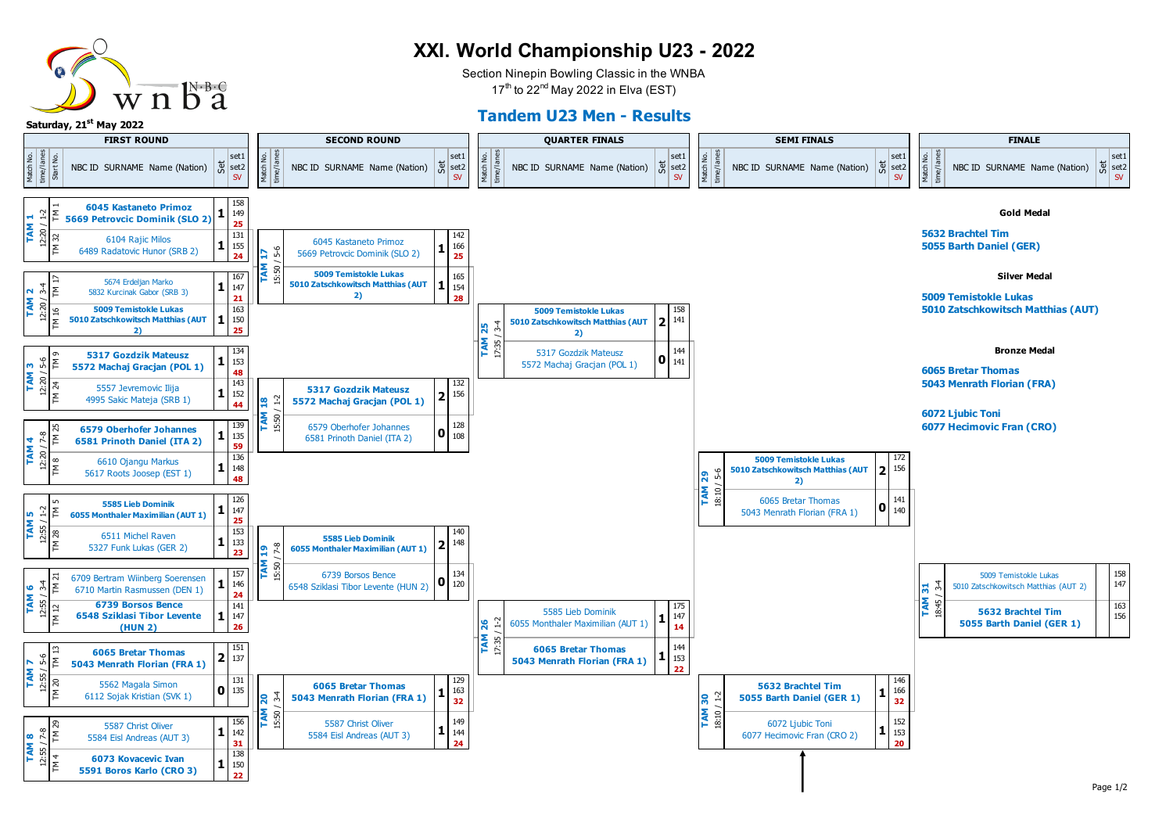

## **XXI. World Championship U23 - 2022**

Section Ninepin Bowling Classic in the WNBA  $17<sup>th</sup>$  to 22<sup>nd</sup> May 2022 in Elva (EST)